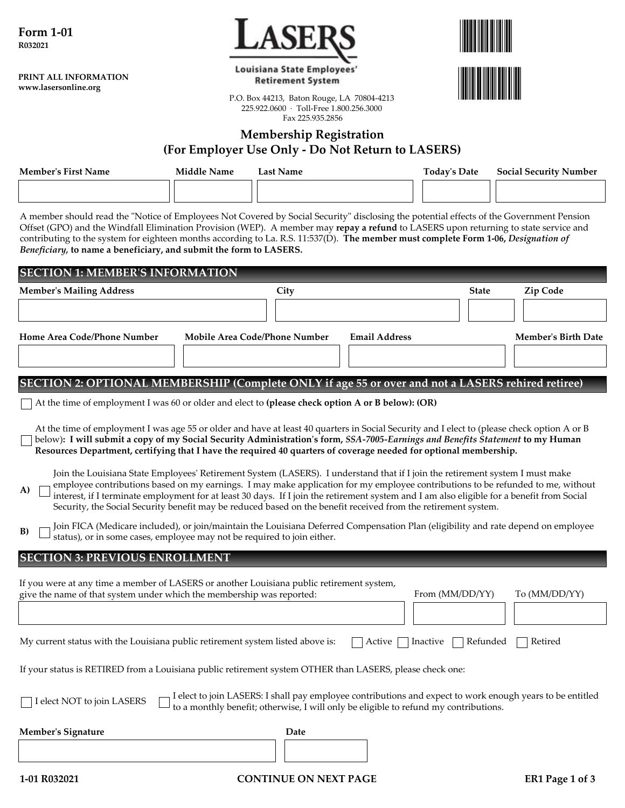**PRINT ALL INFORMATION www.lasersonline.org**



Louisiana State Employees' **Retirement System** 



P.O. Box 44213, Baton Rouge, LA 70804-4213 225.922.0600 · Toll-Free 1.800.256.3000 Fax 225.935.2856

# **Membership Registration (For Employer Use Only - Do Not Return to LASERS)**

| <b>Member's First Name</b> | Middle Name | Last Name                                                                                                                                | <b>Todav's Date</b> | <b>Social Security Number</b> |
|----------------------------|-------------|------------------------------------------------------------------------------------------------------------------------------------------|---------------------|-------------------------------|
|                            |             |                                                                                                                                          |                     |                               |
|                            |             | A member should read the "Notice of Employees Not Covered by Social Security" disclosing the potential effects of the Government Pension |                     |                               |

Offset (GPO) and the Windfall Elimination Provision (WEP). A member may **repay a refund** to LASERS upon returning to state service and contributing to the system for eighteen months according to La. R.S. 11:537(D). **The member must complete Form 1-06,** *Designation of Beneficiary,* **to name a beneficiary, and submit the form to LASERS.**

| <b>SECTION 1: MEMBER'S INFORMATION</b>                                                                                                                                                                                                                                                                                                                                                                                                                                                                                                 |                                                                                                                                                                                                   |      |                      |                 |              |                            |
|----------------------------------------------------------------------------------------------------------------------------------------------------------------------------------------------------------------------------------------------------------------------------------------------------------------------------------------------------------------------------------------------------------------------------------------------------------------------------------------------------------------------------------------|---------------------------------------------------------------------------------------------------------------------------------------------------------------------------------------------------|------|----------------------|-----------------|--------------|----------------------------|
| <b>Member's Mailing Address</b>                                                                                                                                                                                                                                                                                                                                                                                                                                                                                                        |                                                                                                                                                                                                   | City |                      |                 | <b>State</b> | Zip Code                   |
|                                                                                                                                                                                                                                                                                                                                                                                                                                                                                                                                        |                                                                                                                                                                                                   |      |                      |                 |              |                            |
| Home Area Code/Phone Number                                                                                                                                                                                                                                                                                                                                                                                                                                                                                                            | Mobile Area Code/Phone Number                                                                                                                                                                     |      | <b>Email Address</b> |                 |              | <b>Member's Birth Date</b> |
|                                                                                                                                                                                                                                                                                                                                                                                                                                                                                                                                        |                                                                                                                                                                                                   |      |                      |                 |              |                            |
| SECTION 2: OPTIONAL MEMBERSHIP (Complete ONLY if age 55 or over and not a LASERS rehired retiree)                                                                                                                                                                                                                                                                                                                                                                                                                                      |                                                                                                                                                                                                   |      |                      |                 |              |                            |
| At the time of employment I was 60 or older and elect to (please check option A or B below): (OR)                                                                                                                                                                                                                                                                                                                                                                                                                                      |                                                                                                                                                                                                   |      |                      |                 |              |                            |
| At the time of employment I was age 55 or older and have at least 40 quarters in Social Security and I elect to (please check option A or B<br>below): I will submit a copy of my Social Security Administration's form, SSA-7005-Earnings and Benefits Statement to my Human<br>Resources Department, certifying that I have the required 40 quarters of coverage needed for optional membership.                                                                                                                                     |                                                                                                                                                                                                   |      |                      |                 |              |                            |
| Join the Louisiana State Employees' Retirement System (LASERS). I understand that if I join the retirement system I must make<br>employee contributions based on my earnings. I may make application for my employee contributions to be refunded to me, without<br>A)<br>interest, if I terminate employment for at least 30 days. If I join the retirement system and I am also eligible for a benefit from Social<br>Security, the Social Security benefit may be reduced based on the benefit received from the retirement system. |                                                                                                                                                                                                   |      |                      |                 |              |                            |
| Join FICA (Medicare included), or join/maintain the Louisiana Deferred Compensation Plan (eligibility and rate depend on employee<br>B)<br>status), or in some cases, employee may not be required to join either.                                                                                                                                                                                                                                                                                                                     |                                                                                                                                                                                                   |      |                      |                 |              |                            |
| <b>SECTION 3: PREVIOUS ENROLLMENT</b>                                                                                                                                                                                                                                                                                                                                                                                                                                                                                                  |                                                                                                                                                                                                   |      |                      |                 |              |                            |
| If you were at any time a member of LASERS or another Louisiana public retirement system,<br>give the name of that system under which the membership was reported:                                                                                                                                                                                                                                                                                                                                                                     |                                                                                                                                                                                                   |      |                      | From (MM/DD/YY) |              | To (MM/DD/YY)              |
|                                                                                                                                                                                                                                                                                                                                                                                                                                                                                                                                        |                                                                                                                                                                                                   |      |                      |                 |              |                            |
| My current status with the Louisiana public retirement system listed above is:                                                                                                                                                                                                                                                                                                                                                                                                                                                         |                                                                                                                                                                                                   |      | Active               | Inactive        | Refunded     | Retired                    |
| If your status is RETIRED from a Louisiana public retirement system OTHER than LASERS, please check one:                                                                                                                                                                                                                                                                                                                                                                                                                               |                                                                                                                                                                                                   |      |                      |                 |              |                            |
| I elect NOT to join LASERS                                                                                                                                                                                                                                                                                                                                                                                                                                                                                                             | I elect to join LASERS: I shall pay employee contributions and expect to work enough years to be entitled<br>to a monthly benefit; otherwise, I will only be eligible to refund my contributions. |      |                      |                 |              |                            |
| <b>Member's Signature</b>                                                                                                                                                                                                                                                                                                                                                                                                                                                                                                              |                                                                                                                                                                                                   | Date |                      |                 |              |                            |
|                                                                                                                                                                                                                                                                                                                                                                                                                                                                                                                                        |                                                                                                                                                                                                   |      |                      |                 |              |                            |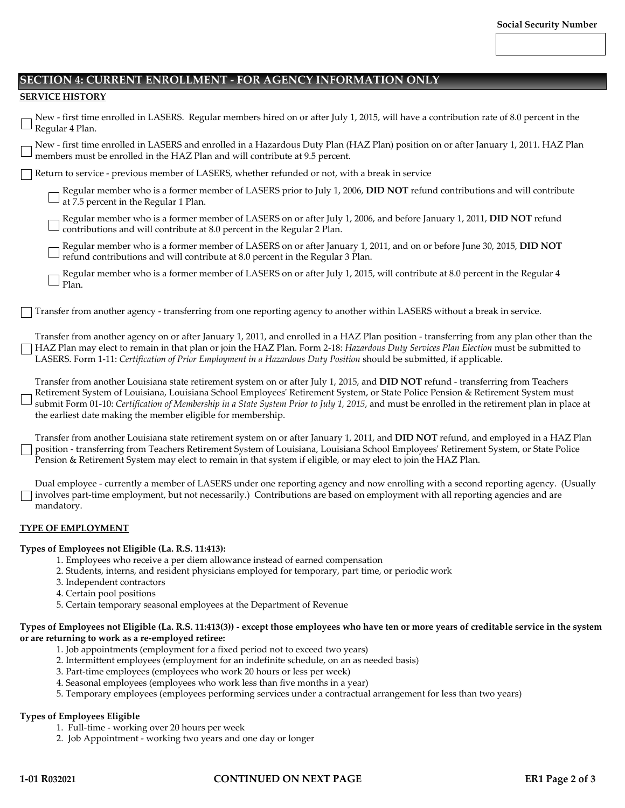# **SECTION 4: CURRENT ENROLLMENT - FOR AGENCY INFORMATION ONLY**

## **SERVICE HISTORY**

| New - first time enrolled in LASERS. Regular members hired on or after July 1, 2015, will have a contribution rate of 8.0 percent in the<br>J Regular 4 Plan.                                                                                                                                                                                                                                                                                                                           |  |
|-----------------------------------------------------------------------------------------------------------------------------------------------------------------------------------------------------------------------------------------------------------------------------------------------------------------------------------------------------------------------------------------------------------------------------------------------------------------------------------------|--|
| New - first time enrolled in LASERS and enrolled in a Hazardous Duty Plan (HAZ Plan) position on or after January 1, 2011. HAZ Plan<br>members must be enrolled in the HAZ Plan and will contribute at 9.5 percent.                                                                                                                                                                                                                                                                     |  |
| Return to service - previous member of LASERS, whether refunded or not, with a break in service                                                                                                                                                                                                                                                                                                                                                                                         |  |
| Regular member who is a former member of LASERS prior to July 1, 2006, DID NOT refund contributions and will contribute<br>at 7.5 percent in the Regular 1 Plan.                                                                                                                                                                                                                                                                                                                        |  |
| Regular member who is a former member of LASERS on or after July 1, 2006, and before January 1, 2011, DID NOT refund<br>contributions and will contribute at 8.0 percent in the Regular 2 Plan.                                                                                                                                                                                                                                                                                         |  |
| Regular member who is a former member of LASERS on or after January 1, 2011, and on or before June 30, 2015, DID NOT<br>refund contributions and will contribute at 8.0 percent in the Regular 3 Plan.                                                                                                                                                                                                                                                                                  |  |
| Regular member who is a former member of LASERS on or after July 1, 2015, will contribute at 8.0 percent in the Regular 4<br>Plan.                                                                                                                                                                                                                                                                                                                                                      |  |
| Transfer from another agency - transferring from one reporting agency to another within LASERS without a break in service.                                                                                                                                                                                                                                                                                                                                                              |  |
| Transfer from another agency on or after January 1, 2011, and enrolled in a HAZ Plan position - transferring from any plan other than the<br>HAZ Plan may elect to remain in that plan or join the HAZ Plan. Form 2-18: Hazardous Duty Services Plan Election must be submitted to<br>LASERS. Form 1-11: Certification of Prior Employment in a Hazardous Duty Position should be submitted, if applicable.                                                                             |  |
| Transfer from another Louisiana state retirement system on or after July 1, 2015, and DID NOT refund - transferring from Teachers<br>Retirement System of Louisiana, Louisiana School Employees' Retirement System, or State Police Pension & Retirement System must<br>submit Form 01-10: Certification of Membership in a State System Prior to July 1, 2015, and must be enrolled in the retirement plan in place at<br>the earliest date making the member eligible for membership. |  |
| Transfer from another Louisiana state retirement system on or after January 1, 2011, and DID NOT refund, and employed in a HAZ Plan<br>position - transferring from Teachers Retirement System of Louisiana, Louisiana School Employees' Retirement System, or State Police<br>Pension & Retirement System may elect to remain in that system if eligible, or may elect to join the HAZ Plan.                                                                                           |  |
| Deed and case to account the company of LACEDC and account one account on a man and account of a communication of the community of the control of the control of the control of the control of the control of the control of t                                                                                                                                                                                                                                                          |  |

Dual employee - currently a member of LASERS under one reporting agency and now enrolling with a second reporting agency. (Usually involves part-time employment, but not necessarily.) Contributions are based on employment with all reporting agencies and are mandatory.

## **TYPE OF EMPLOYMENT**

#### **Types of Employees not Eligible (La. R.S. 11:413):**

- 1. Employees who receive a per diem allowance instead of earned compensation
- 2. Students, interns, and resident physicians employed for temporary, part time, or periodic work
- 3. Independent contractors
- 4. Certain pool positions
- 5. Certain temporary seasonal employees at the Department of Revenue

#### **Types of Employees not Eligible (La. R.S. 11:413(3)) - except those employees who have ten or more years of creditable service in the system or are returning to work as a re-employed retiree:**

- 1. Job appointments (employment for a fixed period not to exceed two years)
- 2. Intermittent employees (employment for an indefinite schedule, on an as needed basis)
- 3. Part-time employees (employees who work 20 hours or less per week)
- 4. Seasonal employees (employees who work less than five months in a year)
- 5. Temporary employees (employees performing services under a contractual arrangement for less than two years)

## **Types of Employees Eligible**

- 1. Full-time working over 20 hours per week
- 2. Job Appointment working two years and one day or longer